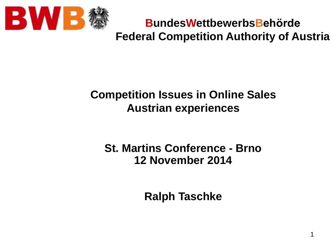

**BundesWettbewerbsBehörde Federal Competition Authority of Austria**

#### **Competition Issues in Online Sales Austrian experiences**

#### **St. Martins Conference - Brno 12 November 2014**

**Ralph Taschke**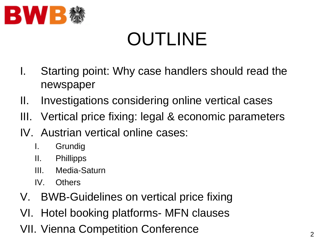

# OUTLINE

- I. Starting point: Why case handlers should read the newspaper
- II. Investigations considering online vertical cases
- III. Vertical price fixing: legal & economic parameters
- IV. Austrian vertical online cases:
	- I. Grundig
	- II. Phillipps
	- III. Media-Saturn
	- IV. Others
- V. BWB-Guidelines on vertical price fixing
- VI. Hotel booking platforms- MFN clauses
- VII. Vienna Competition Conference 2011.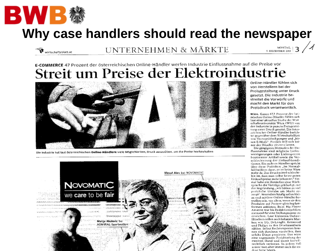

wirtschaftsblatt.at

### **Why case handlers should read the newspaper**

UNTERNEHMEN & MÄRKTE

E-COMMERCE 47 Prozent der österreichischen Online-Händler werfen Industrie Einflussnahme auf die Preise vor Streit um Preise der Elektroindustrie



Die Industrie hat laut österreichischen Online-Händlern viele Möglichkeiten, Druck auszuüben, um die Preise hochzuhalten



Online-Händler fühlen sichvon Herstellern bei der Preisgestaltung unter Druck gesetzt. Die Industrie bestreitet die Vorwürfe und macht den Markt für den Preisdruck verantwortlich.

 $\begin{tabular}{c} \bf MOMTAG, \\ \texttt{S. DEZEMBER 2011} \end{tabular}$ 

Wien. Ganze 47,2 Prozent der heimischen Online-Händler fühlen sichlaut einer aktuellen Studie der Wirtschaftsuniversität Wien (WU) von der Industrie in puncto Preisgestaltung unter Druck gesetzt. Ein österreichischer Online-Händler berichtet gegenüber dem WirtschaftsBlatt von Vertragsköndigungen und "bösen E-Mails". Freilich will sich keiner der Händler zitieren lassen.

Die gängigsten Methoden der Eioflussnahme sind mögliche Lieferverzögerungen oder Lieferspetren bestimmter Artikel sowie die Verschlechterung der Einkaufskonditionen. Ein anderer Händler spricht über diese Praktiken: "Im Normalfall heißt es dann, es ist keine Waremehr da. Das Druckmittel schlechthin ist, dass man selbst keine guten. Einkaufspreise mehr bekommt." Einmal habe ein Hersteller ohne Rücksprache die Verträge gekündigt, mit der Begründung, "wir hätten zu vielpreisliche Unruhe am Markt erzeugt". Resonders häufig sollen kieiae und mittlere Online-Händler betroffen sein, vor allem, wenn sie ihre Produkte auf Preisvergleichsplattformen anbieten. Beim Big Player Amazon war bis Redaktionsschluss niemand für eine Stellungnahme zuerreichen. Laut kleineren Online-Händlern sollen auch bekannte Marken wie LG, DeLonghi, Kenwood und Philips zu den Druckzusübern zählen. Selbst Rechtsexperten können sich durchaus vorstellen, dasssolche Dinge passieren. Das wäre eine sogenannte Preisbindung der zweiten Hand und damit kartellrechtlich verboten. In jedem Fall mijsse man aber immer auch die andere Seite bören..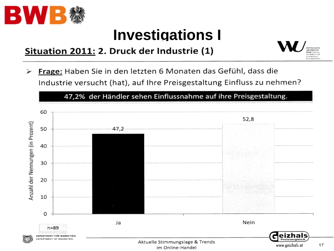

## **Investigations I**

#### Situation 2011: 2. Druck der Industrie (1)



Frage: Haben Sie in den letzten 6 Monaten das Gefühl, dass die Industrie versucht (hat), auf Ihre Preisgestaltung Einfluss zu nehmen?

47,2% der Händler sehen Einflussnahme auf ihre Preisgestaltung.

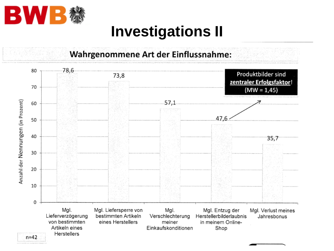

## **Investigations II**



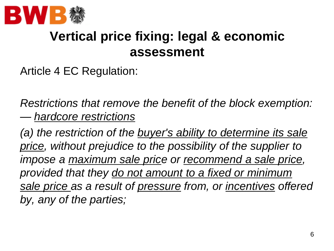

### **Vertical price fixing: legal & economic assessment**

Article 4 EC Regulation:

*Restrictions that remove the benefit of the block exemption: — hardcore restrictions*

*(a) the restriction of the buyer's ability to determine its sale price, without prejudice to the possibility of the supplier to impose a maximum sale price or recommend a sale price, provided that they do not amount to a fixed or minimum sale price as a result of pressure from, or incentives offered by, any of the parties;*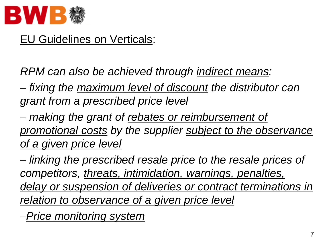

#### EU Guidelines on Verticals:

*RPM can also be achieved through indirect means:* 

 *fixing the maximum level of discount the distributor can grant from a prescribed price level*

 *making the grant of rebates or reimbursement of promotional costs by the supplier subject to the observance of a given price level*

 *linking the prescribed resale price to the resale prices of competitors, threats, intimidation, warnings, penalties, delay or suspension of deliveries or contract terminations in relation to observance of a given price level* 

*Price monitoring system*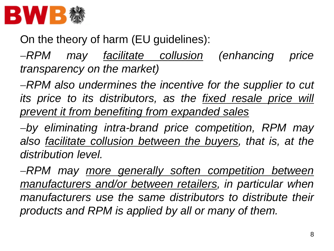

On the theory of harm (EU guidelines):

*RPM may facilitate collusion (enhancing price transparency on the market)*

*RPM also undermines the incentive for the supplier to cut its price to its distributors, as the fixed resale price will prevent it from benefiting from expanded sales*

*by eliminating intra-brand price competition, RPM may also facilitate collusion between the buyers, that is, at the distribution level.*

*RPM may more generally soften competition between manufacturers and/or between retailers, in particular when manufacturers use the same distributors to distribute their products and RPM is applied by all or many of them.*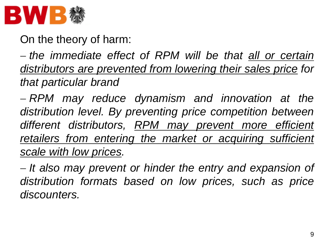

On the theory of harm:

 *the immediate effect of RPM will be that all or certain distributors are prevented from lowering their sales price for that particular brand*

 *RPM may reduce dynamism and innovation at the distribution level. By preventing price competition between different distributors, RPM may prevent more efficient retailers from entering the market or acquiring sufficient scale with low prices.*

 *It also may prevent or hinder the entry and expansion of distribution formats based on low prices, such as price discounters.*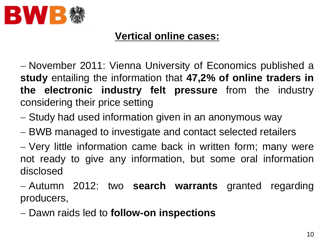

#### **Vertical online cases:**

 November 2011: Vienna University of Economics published a **study** entailing the information that **47,2% of online traders in the electronic industry felt pressure** from the industry considering their price setting

- Study had used information given in an anonymous way
- BWB managed to investigate and contact selected retailers
- Very little information came back in written form; many were not ready to give any information, but some oral information disclosed
- Autumn 2012: two **search warrants** granted regarding producers,
- Dawn raids led to **follow-on inspections**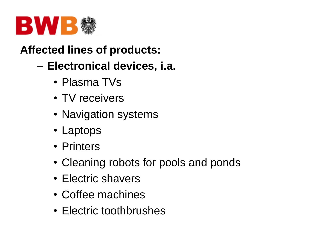

#### **Affected lines of products:**

- **Electronical devices, i.a.**
	- Plasma TVs
	- TV receivers
	- Navigation systems
	- Laptops
	- Printers
	- Cleaning robots for pools and ponds
	- Electric shavers
	- Coffee machines
	- Electric toothbrushes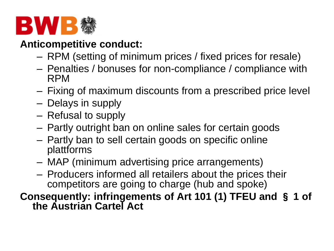

#### **Anticompetitive conduct:**

- RPM (setting of minimum prices / fixed prices for resale)
- Penalties / bonuses for non-compliance / compliance with RPM
- Fixing of maximum discounts from a prescribed price level
- Delays in supply
- Refusal to supply
- Partly outright ban on online sales for certain goods
- Partly ban to sell certain goods on specific online plattforms
- MAP (minimum advertising price arrangements)
- Producers informed all retailers about the prices their competitors are going to charge (hub and spoke)
- **Consequently: infringements of Art 101 (1) TFEU and** § **1 of the Austrian Cartel Act**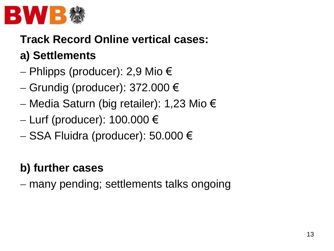

#### **Track Record Online vertical cases:**

#### **a) Settlements**

- Phlipps (producer): 2,9 Mio €
- $-$  Grundig (producer): 372.000 €
- Media Saturn (big retailer): 1,23 Mio €
- $-$  Lurf (producer): 100.000 €
- SSA Fluidra (producer): 50.000 €

#### **b) further cases**

many pending; settlements talks ongoing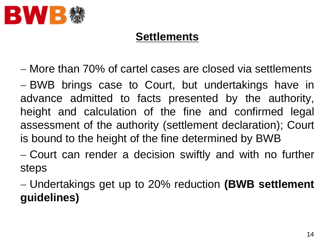

#### **Settlements**

More than 70% of cartel cases are closed via settlements

 $-$  BWB brings case to Court, but undertakings have in advance admitted to facts presented by the authority, height and calculation of the fine and confirmed legal assessment of the authority (settlement declaration); Court is bound to the height of the fine determined by BWB

 Court can render a decision swiftly and with no further steps

 Undertakings get up to 20% reduction **(BWB settlement guidelines)**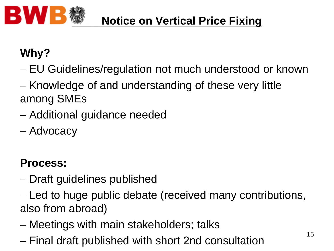

#### **Notice on Vertical Price Fixing**

### **Why?**

- EU Guidelines/regulation not much understood or known
- Knowledge of and understanding of these very little among SMEs
- Additional guidance needed
- Advocacy

### **Process:**

- Draft guidelines published
- Led to huge public debate (received many contributions, also from abroad)
- Meetings with main stakeholders; talks
- Final draft published with short 2nd consultation 15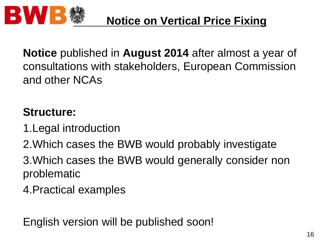

**Notice** published in **August 2014** after almost a year of consultations with stakeholders, European Commission and other NCAs

#### **Structure:**

- 1.Legal introduction
- 2.Which cases the BWB would probably investigate
- 3.Which cases the BWB would generally consider non problematic
- 4.Practical examples

English version will be published soon!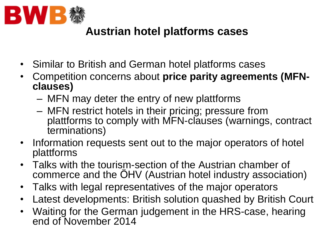

#### **Austrian hotel platforms cases**

- Similar to British and German hotel platforms cases
- Competition concerns about **price parity agreements (MFNclauses)**
	- MFN may deter the entry of new plattforms
	- MFN restrict hotels in their pricing; pressure from plattforms to comply with MFN-clauses (warnings, contract terminations)
- Information requests sent out to the major operators of hotel plattforms
- Talks with the tourism-section of the Austrian chamber of commerce and the ÖHV (Austrian hotel industry association)
- Talks with legal representatives of the major operators
- Latest developments: British solution quashed by British Court
- Waiting for the German judgement in the HRS-case, hearing end of November 2014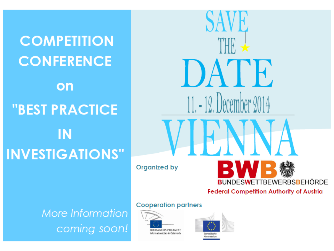**COMPETITION CONFERENCE** on **"BEST PRACTICE IN INVESTIGATIONS"** 

 $D_f$ ATE. 11. - 12. December 2014 **Organized by BUNDESWETTBEWERBSBEHÖRDE Federal Competition Authority of Austria** 

More Information coming soon!